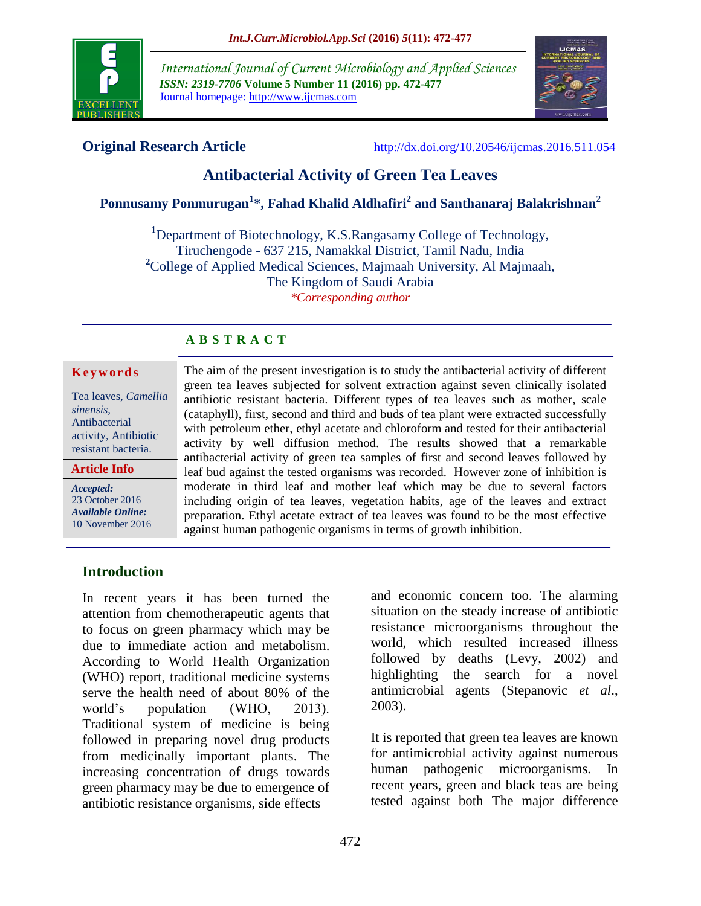

*International Journal of Current Microbiology and Applied Sciences ISSN: 2319-7706* **Volume 5 Number 11 (2016) pp. 472-477** Journal homepage: http://www.ijcmas.com



**Original Research Article** <http://dx.doi.org/10.20546/ijcmas.2016.511.054>

# **Antibacterial Activity of Green Tea Leaves**

# **Ponnusamy Ponmurugan<sup>1</sup> \*, Fahad Khalid Aldhafiri<sup>2</sup> and Santhanaraj Balakrishnan<sup>2</sup>**

<sup>1</sup>Department of Biotechnology, K.S.Rangasamy College of Technology, Tiruchengode - 637 215, Namakkal District, Tamil Nadu, India **<sup>2</sup>**College of Applied Medical Sciences, Majmaah University, Al Majmaah, The Kingdom of Saudi Arabia *\*Corresponding author*

# **A B S T R A C T**

#### **K e y w o r d s**

Tea leaves, *Camellia sinensis,* Antibacterial activity, Antibiotic resistant bacteria.

**Article Info**

*Accepted:*  23 October 2016 *Available Online:* 10 November 2016

The aim of the present investigation is to study the antibacterial activity of different green tea leaves subjected for solvent extraction against seven clinically isolated antibiotic resistant bacteria. Different types of tea leaves such as mother, scale (cataphyll), first, second and third and buds of tea plant were extracted successfully with petroleum ether, ethyl acetate and chloroform and tested for their antibacterial activity by well diffusion method. The results showed that a remarkable antibacterial activity of green tea samples of first and second leaves followed by leaf bud against the tested organisms was recorded. However zone of inhibition is moderate in third leaf and mother leaf which may be due to several factors including origin of tea leaves, vegetation habits, age of the leaves and extract preparation. Ethyl acetate extract of tea leaves was found to be the most effective against human pathogenic organisms in terms of growth inhibition.

## **Introduction**

In recent years it has been turned the attention from chemotherapeutic agents that to focus on green pharmacy which may be due to immediate action and metabolism. According to World Health Organization (WHO) report, traditional medicine systems serve the health need of about 80% of the world's population (WHO, 2013). Traditional system of medicine is being followed in preparing novel drug products from medicinally important plants. The increasing concentration of drugs towards green pharmacy may be due to emergence of antibiotic resistance organisms, side effects

and economic concern too. The alarming situation on the steady increase of antibiotic resistance microorganisms throughout the world, which resulted increased illness followed by deaths (Levy, 2002) and highlighting the search for a novel antimicrobial agents (Stepanovic *et al*., 2003).

It is reported that green tea leaves are known for antimicrobial activity against numerous human pathogenic microorganisms. In recent years, green and black teas are being tested against both The major difference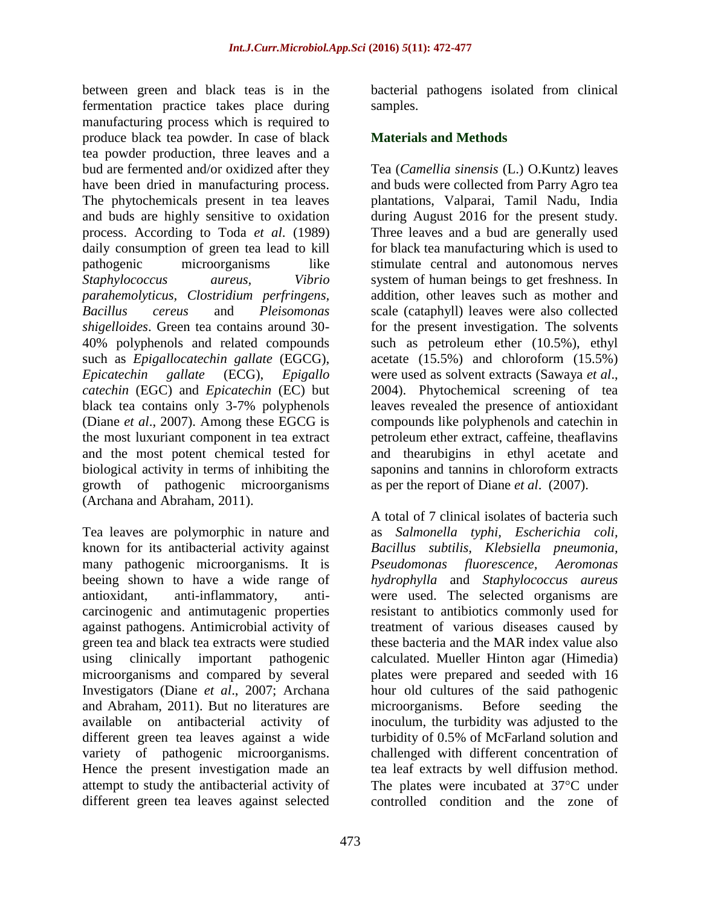between green and black teas is in the fermentation practice takes place during manufacturing process which is required to produce black tea powder. In case of black tea powder production, three leaves and a bud are fermented and/or oxidized after they have been dried in manufacturing process. The phytochemicals present in tea leaves and buds are highly sensitive to oxidation process. According to Toda *et al*. (1989) daily consumption of green tea lead to kill pathogenic microorganisms like *Staphylococcus aureus, Vibrio parahemolyticus, Clostridium perfringens, Bacillus cereus* and *Pleisomonas shigelloides*. Green tea contains around 30- 40% polyphenols and related compounds such as *Epigallocatechin gallate* (EGCG), *Epicatechin gallate* (ECG), *Epigallo catechin* (EGC) and *Epicatechin* (EC) but black tea contains only 3-7% polyphenols (Diane *et al*., 2007). Among these EGCG is the most luxuriant component in tea extract and the most potent chemical tested for biological activity in terms of inhibiting the growth of pathogenic microorganisms (Archana and Abraham, 2011).

Tea leaves are polymorphic in nature and known for its antibacterial activity against many pathogenic microorganisms. It is beeing shown to have a wide range of antioxidant, anti-inflammatory, anticarcinogenic and antimutagenic properties against pathogens. Antimicrobial activity of green tea and black tea extracts were studied using clinically important pathogenic microorganisms and compared by several Investigators (Diane *et al*., 2007; Archana and Abraham, 2011). But no literatures are available on antibacterial activity of different green tea leaves against a wide variety of pathogenic microorganisms. Hence the present investigation made an attempt to study the antibacterial activity of different green tea leaves against selected

bacterial pathogens isolated from clinical samples.

## **Materials and Methods**

Tea (*Camellia sinensis* (L.) O.Kuntz) leaves and buds were collected from Parry Agro tea plantations, Valparai, Tamil Nadu, India during August 2016 for the present study. Three leaves and a bud are generally used for black tea manufacturing which is used to stimulate central and autonomous nerves system of human beings to get freshness. In addition, other leaves such as mother and scale (cataphyll) leaves were also collected for the present investigation. The solvents such as petroleum ether (10.5%), ethyl acetate (15.5%) and chloroform (15.5%) were used as solvent extracts (Sawaya *et al*., 2004). Phytochemical screening of tea leaves revealed the presence of antioxidant compounds like polyphenols and catechin in petroleum ether extract, caffeine, theaflavins and thearubigins in ethyl acetate and saponins and tannins in chloroform extracts as per the report of Diane *et al*. (2007).

A total of 7 clinical isolates of bacteria such as *Salmonella typhi, Escherichia coli, Bacillus subtilis, Klebsiella pneumonia, Pseudomonas fluorescence, Aeromonas hydrophylla* and *Staphylococcus aureus* were used. The selected organisms are resistant to antibiotics commonly used for treatment of various diseases caused by these bacteria and the MAR index value also calculated. Mueller Hinton agar (Himedia) plates were prepared and seeded with 16 hour old cultures of the said pathogenic microorganisms. Before seeding the inoculum, the turbidity was adjusted to the turbidity of 0.5% of McFarland solution and challenged with different concentration of tea leaf extracts by well diffusion method. The plates were incubated at  $37^{\circ}$ C under controlled condition and the zone of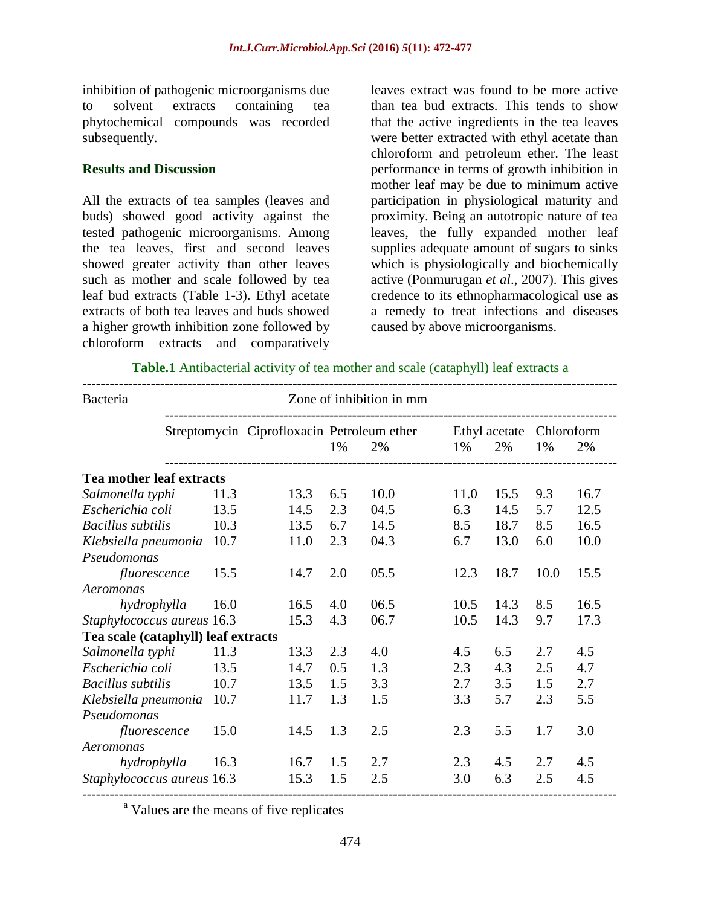inhibition of pathogenic microorganisms due to solvent extracts containing tea phytochemical compounds was recorded subsequently.

## **Results and Discussion**

All the extracts of tea samples (leaves and buds) showed good activity against the tested pathogenic microorganisms. Among the tea leaves, first and second leaves showed greater activity than other leaves such as mother and scale followed by tea leaf bud extracts (Table 1-3). Ethyl acetate extracts of both tea leaves and buds showed a higher growth inhibition zone followed by chloroform extracts and comparatively

leaves extract was found to be more active than tea bud extracts. This tends to show that the active ingredients in the tea leaves were better extracted with ethyl acetate than chloroform and petroleum ether. The least performance in terms of growth inhibition in mother leaf may be due to minimum active participation in physiological maturity and proximity. Being an autotropic nature of tea leaves, the fully expanded mother leaf supplies adequate amount of sugars to sinks which is physiologically and biochemically active (Ponmurugan *et al*., 2007). This gives credence to its ethnopharmacological use as a remedy to treat infections and diseases caused by above microorganisms.

| Bacteria                            |      |                                            |     | Zone of inhibition in mm |      |                     |      |                  |
|-------------------------------------|------|--------------------------------------------|-----|--------------------------|------|---------------------|------|------------------|
|                                     |      | Streptomycin Ciprofloxacin Petroleum ether | 1%  | 2%                       | 1%   | Ethyl acetate<br>2% | 1%   | Chloroform<br>2% |
| <b>Tea mother leaf extracts</b>     |      |                                            |     |                          |      |                     |      |                  |
| Salmonella typhi                    | 11.3 | 13.3                                       | 6.5 | 10.0                     | 11.0 | 15.5                | 9.3  | 16.7             |
| Escherichia coli                    | 13.5 | 14.5                                       | 2.3 | 04.5                     | 6.3  | 14.5                | 5.7  | 12.5             |
| <b>Bacillus</b> subtilis            | 10.3 | 13.5                                       | 6.7 | 14.5                     | 8.5  | 18.7                | 8.5  | 16.5             |
| Klebsiella pneumonia                | 10.7 | 11.0                                       | 2.3 | 04.3                     | 6.7  | 13.0                | 6.0  | 10.0             |
| Pseudomonas                         |      |                                            |     |                          |      |                     |      |                  |
| fluorescence                        | 15.5 | 14.7                                       | 2.0 | 05.5                     | 12.3 | 18.7                | 10.0 | 15.5             |
| Aeromonas                           |      |                                            |     |                          |      |                     |      |                  |
| hydrophylla                         | 16.0 | 16.5                                       | 4.0 | 06.5                     | 10.5 | 14.3                | 8.5  | 16.5             |
| Staphylococcus aureus 16.3          |      | 15.3                                       | 4.3 | 06.7                     | 10.5 | 14.3                | 9.7  | 17.3             |
| Tea scale (cataphyll) leaf extracts |      |                                            |     |                          |      |                     |      |                  |
| Salmonella typhi                    | 11.3 | 13.3                                       | 2.3 | 4.0                      | 4.5  | 6.5                 | 2.7  | 4.5              |
| Escherichia coli                    | 13.5 | 14.7                                       | 0.5 | 1.3                      | 2.3  | 4.3                 | 2.5  | 4.7              |
| <b>Bacillus</b> subtilis            | 10.7 | 13.5                                       | 1.5 | 3.3                      | 2.7  | 3.5                 | 1.5  | 2.7              |
| Klebsiella pneumonia                | 10.7 | 11.7                                       | 1.3 | 1.5                      | 3.3  | 5.7                 | 2.3  | 5.5              |
| Pseudomonas                         |      |                                            |     |                          |      |                     |      |                  |
| fluorescence                        | 15.0 | 14.5                                       | 1.3 | 2.5                      | 2.3  | 5.5                 | 1.7  | 3.0              |
| Aeromonas                           |      |                                            |     |                          |      |                     |      |                  |
| hydrophylla                         | 16.3 | 16.7                                       | 1.5 | 2.7                      | 2.3  | 4.5                 | 2.7  | 4.5              |
| Staphylococcus aureus 16.3          |      | 15.3                                       | 1.5 | 2.5                      | 3.0  | 6.3                 | 2.5  | 4.5              |

<sup>a</sup> Values are the means of five replicates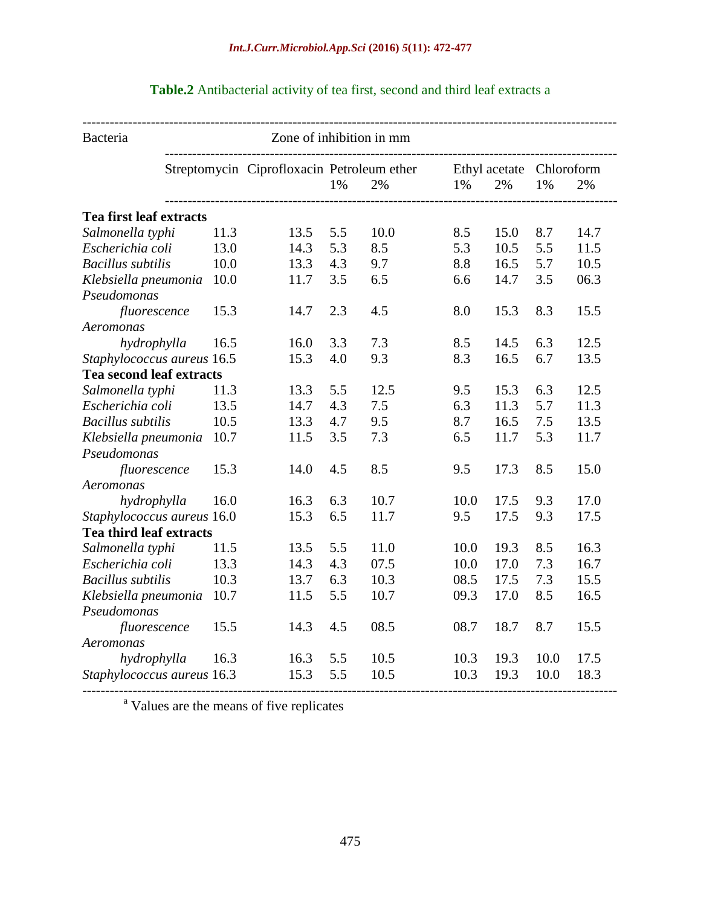| Bacteria                        |      | Zone of inhibition in mm |                                            |      |                          |      |      |      |
|---------------------------------|------|--------------------------|--------------------------------------------|------|--------------------------|------|------|------|
|                                 |      |                          | Streptomycin Ciprofloxacin Petroleum ether |      | Ethyl acetate Chloroform |      |      |      |
|                                 |      |                          | 1%                                         | 2%   | 1%                       | 2%   | 1%   | 2%   |
| Tea first leaf extracts         |      |                          |                                            |      |                          |      |      |      |
| Salmonella typhi                | 11.3 | 13.5                     | 5.5                                        | 10.0 | 8.5                      | 15.0 | 8.7  | 14.7 |
| Escherichia coli                | 13.0 | 14.3                     | 5.3                                        | 8.5  | 5.3                      | 10.5 | 5.5  | 11.5 |
| <b>Bacillus</b> subtilis        | 10.0 | 13.3                     | 4.3                                        | 9.7  | 8.8                      | 16.5 | 5.7  | 10.5 |
| Klebsiella pneumonia            | 10.0 | 11.7                     | 3.5                                        | 6.5  | 6.6                      | 14.7 | 3.5  | 06.3 |
| Pseudomonas                     |      |                          |                                            |      |                          |      |      |      |
| fluorescence                    | 15.3 | 14.7                     | 2.3                                        | 4.5  | 8.0                      | 15.3 | 8.3  | 15.5 |
| Aeromonas                       |      |                          |                                            |      |                          |      |      |      |
| hydrophylla                     | 16.5 | 16.0                     | 3.3                                        | 7.3  | 8.5                      | 14.5 | 6.3  | 12.5 |
| Staphylococcus aureus 16.5      |      | 15.3                     | 4.0                                        | 9.3  | 8.3                      | 16.5 | 6.7  | 13.5 |
| <b>Tea second leaf extracts</b> |      |                          |                                            |      |                          |      |      |      |
| Salmonella typhi                | 11.3 | 13.3                     | 5.5                                        | 12.5 | 9.5                      | 15.3 | 6.3  | 12.5 |
| Escherichia coli                | 13.5 | 14.7                     | 4.3                                        | 7.5  | 6.3                      | 11.3 | 5.7  | 11.3 |
| <b>Bacillus</b> subtilis        | 10.5 | 13.3                     | 4.7                                        | 9.5  | 8.7                      | 16.5 | 7.5  | 13.5 |
| Klebsiella pneumonia            | 10.7 | 11.5                     | 3.5                                        | 7.3  | 6.5                      | 11.7 | 5.3  | 11.7 |
| Pseudomonas                     |      |                          |                                            |      |                          |      |      |      |
| fluorescence                    | 15.3 | 14.0                     | 4.5                                        | 8.5  | 9.5                      | 17.3 | 8.5  | 15.0 |
| Aeromonas                       |      |                          |                                            |      |                          |      |      |      |
| hydrophylla                     | 16.0 | 16.3                     | 6.3                                        | 10.7 | 10.0                     | 17.5 | 9.3  | 17.0 |
| Staphylococcus aureus 16.0      |      | 15.3                     | 6.5                                        | 11.7 | 9.5                      | 17.5 | 9.3  | 17.5 |
| Tea third leaf extracts         |      |                          |                                            |      |                          |      |      |      |
| Salmonella typhi                | 11.5 | 13.5                     | 5.5                                        | 11.0 | 10.0                     | 19.3 | 8.5  | 16.3 |
| Escherichia coli                | 13.3 | 14.3                     | 4.3                                        | 07.5 | 10.0                     | 17.0 | 7.3  | 16.7 |
| <b>Bacillus</b> subtilis        | 10.3 | 13.7                     | 6.3                                        | 10.3 | 08.5                     | 17.5 | 7.3  | 15.5 |
| Klebsiella pneumonia            | 10.7 | 11.5                     | 5.5                                        | 10.7 | 09.3                     | 17.0 | 8.5  | 16.5 |
| Pseudomonas                     |      |                          |                                            |      |                          |      |      |      |
| fluorescence                    | 15.5 | 14.3                     | 4.5                                        | 08.5 | 08.7                     | 18.7 | 8.7  | 15.5 |
| Aeromonas                       |      |                          |                                            |      |                          |      |      |      |
| hydrophylla                     | 16.3 | 16.3                     | 5.5                                        | 10.5 | 10.3                     | 19.3 | 10.0 | 17.5 |
| Staphylococcus aureus 16.3      |      | 15.3                     | 5.5                                        | 10.5 | 10.3                     | 19.3 | 10.0 | 18.3 |

# **Table.2** Antibacterial activity of tea first, second and third leaf extracts a

<sup>a</sup> Values are the means of five replicates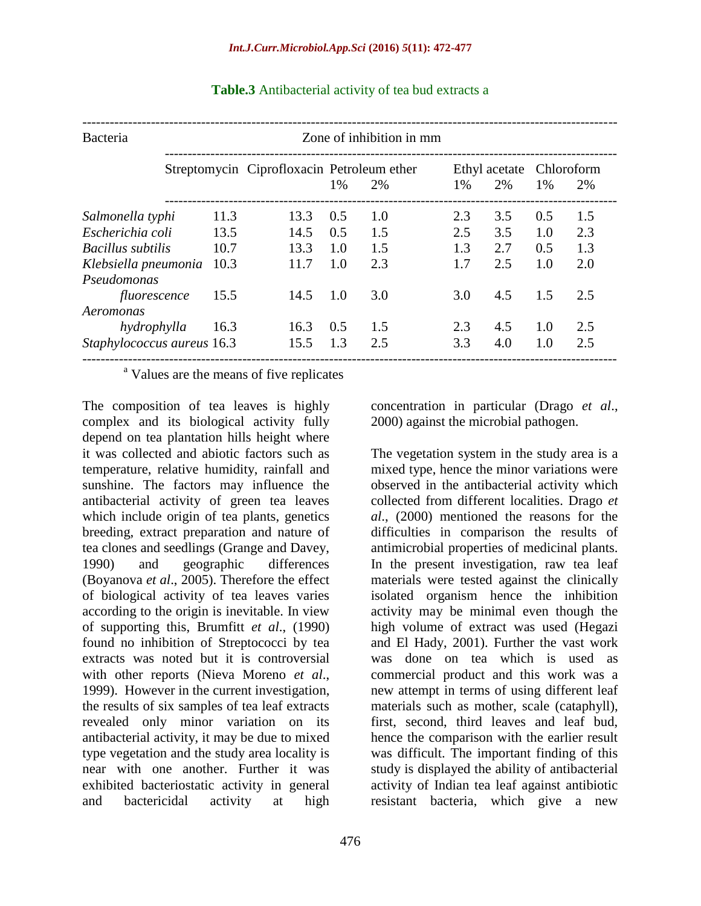| Bacteria                   |      | Zone of inhibition in mm |                                                        |     |                                         |     |             |     |  |
|----------------------------|------|--------------------------|--------------------------------------------------------|-----|-----------------------------------------|-----|-------------|-----|--|
|                            |      |                          | Streptomycin Ciprofloxacin Petroleum ether<br>1%<br>2% |     | Ethyl acetate Chloroform<br>2%<br>$1\%$ |     | $1\%$<br>2% |     |  |
|                            |      |                          |                                                        |     |                                         |     |             |     |  |
| Salmonella typhi           | 11.3 | 13.3                     | 0.5                                                    | 1.0 | 2.3                                     | 3.5 | 0.5         | 1.5 |  |
| Escherichia coli           | 13.5 | 14.5                     | 0.5                                                    | 1.5 | 2.5                                     | 3.5 | 1.0         | 2.3 |  |
| <b>Bacillus</b> subtilis   | 10.7 | 13.3                     | 1.0                                                    | 1.5 | 1.3                                     | 2.7 | 0.5         | 1.3 |  |
| Klebsiella pneumonia       | 10.3 | 11.7                     | 1.0                                                    | 2.3 | 1.7                                     | 2.5 | 1.0         | 2.0 |  |
| Pseudomonas                |      |                          |                                                        |     |                                         |     |             |     |  |
| fluorescence               | 15.5 | 14.5                     | 1.0                                                    | 3.0 | 3.0                                     | 4.5 | 1.5         | 2.5 |  |
| Aeromonas                  |      |                          |                                                        |     |                                         |     |             |     |  |
| hydrophylla                | 16.3 | 16.3                     | 0.5                                                    | 1.5 | 2.3                                     | 4.5 | 1.0         | 2.5 |  |
| Staphylococcus aureus 16.3 |      | 15.5                     | 1.3                                                    | 2.5 | 3.3                                     | 4.0 | 1.0         | 2.5 |  |

#### **Table.3** Antibacterial activity of tea bud extracts a

<sup>a</sup> Values are the means of five replicates

The composition of tea leaves is highly complex and its biological activity fully depend on tea plantation hills height where it was collected and abiotic factors such as temperature, relative humidity, rainfall and sunshine. The factors may influence the antibacterial activity of green tea leaves which include origin of tea plants, genetics breeding, extract preparation and nature of tea clones and seedlings (Grange and Davey, 1990) and geographic differences (Boyanova *et al*., 2005). Therefore the effect of biological activity of tea leaves varies according to the origin is inevitable. In view of supporting this, Brumfitt *et al*., (1990) found no inhibition of Streptococci by tea extracts was noted but it is controversial with other reports (Nieva Moreno *et al*., 1999). However in the current investigation, the results of six samples of tea leaf extracts revealed only minor variation on its antibacterial activity, it may be due to mixed type vegetation and the study area locality is near with one another. Further it was exhibited bacteriostatic activity in general and bactericidal activity at high

concentration in particular (Drago *et al*., 2000) against the microbial pathogen.

The vegetation system in the study area is a mixed type, hence the minor variations were observed in the antibacterial activity which collected from different localities. Drago *et al*., (2000) mentioned the reasons for the difficulties in comparison the results of antimicrobial properties of medicinal plants. In the present investigation, raw tea leaf materials were tested against the clinically isolated organism hence the inhibition activity may be minimal even though the high volume of extract was used (Hegazi and El Hady, 2001). Further the vast work was done on tea which is used as commercial product and this work was a new attempt in terms of using different leaf materials such as mother, scale (cataphyll), first, second, third leaves and leaf bud, hence the comparison with the earlier result was difficult. The important finding of this study is displayed the ability of antibacterial activity of Indian tea leaf against antibiotic resistant bacteria, which give a new